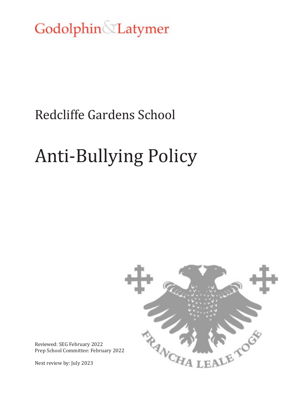Godolphin Latymer

# Redcliffe Gardens School

# Anti-Bullying Policy



Reviewed: SEG February 2022 Prep School Committee: February 2022

Next review by: July 2023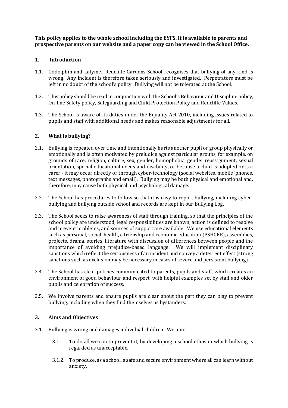**This policy applies to the whole school including the EYFS. It is available to parents and prospective parents on our website and a paper copy can be viewed in the School Office.** 

#### **1. Introduction**

- 1.1. Godolphin and Latymer Redcliffe Gardens School recognises that bullying of any kind is wrong. Any incident is therefore taken seriously and investigated. Perpetrators must be left in no doubt of the school's policy. Bullying will not be tolerated at the School.
- 1.2. This policy should be read in conjunction with the School's Behaviour and Discipline policy, On-line Safety policy, Safeguarding and Child Protection Policy and Redcliffe Values.
- 1.3. The School is aware of its duties under the Equality Act 2010, including issues related to pupils and staff with additional needs and makes reasonable adjustments for all.

#### **2. What is bullying?**

- 2.1. Bullying is repeated over time and intentionally hurts another pupil or group physically or emotionally and is often motivated by prejudice against particular groups, for example, on grounds of race, religion, culture, sex, gender, homophobia, gender reassignment, sexual orientation, special educational needs and disability, or because a child is adopted or is a carer - it may occur directly or through cyber-technology (social websites, mobile 'phones, text messages, photographs and email). Bullying may be both physical and emotional and, therefore, may cause both physical and psychological damage.
- 2.2. The School has procedures to follow so that it is easy to report bullying, including cyberbullying and bullying outside school and records are kept in our Bullying Log.
- 2.3. The School seeks to raise awareness of staff through training, so that the principles of the school policy are understood, legal responsibilities are known, action is defined to resolve and prevent problems, and sources of support are available. We use educational elements such as personal, social, health, citizenship and economic education (PSHCEE), assemblies, projects, drama, stories, literature with discussion of differences between people and the importance of avoiding prejudice-based language. We will implement disciplinary sanctions which reflect the seriousness of an incident and convey a deterrent effect (strong sanctions such as exclusion may be necessary in cases of severe and persistent bullying).
- 2.4. The School has clear policies communicated to parents, pupils and staff, which creates an environment of good behaviour and respect, with helpful examples set by staff and older pupils and celebration of success.
- 2.5. We involve parents and ensure pupils are clear about the part they can play to prevent bullying, including when they find themselves as bystanders.

#### **3. Aims and Objectives**

- 3.1. Bullying is wrong and damages individual children. We aim:
	- 3.1.1. To do all we can to prevent it, by developing a school ethos in which bullying is regarded as unacceptable.
	- 3.1.2. To produce, as a school, a safe and secure environment where all can learn without anxiety.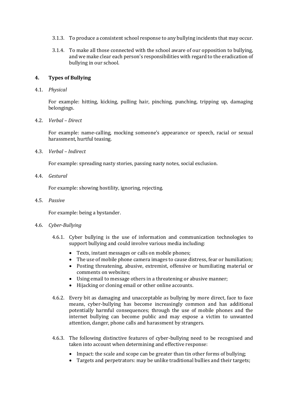- 3.1.3. To produce a consistent school response to any bullying incidents that may occur.
- 3.1.4. To make all those connected with the school aware of our opposition to bullying, and we make clear each person's responsibilities with regard to the eradication of bullying in our school.

#### **4. Types of Bullying**

4.1. *Physical* 

For example: hitting, kicking, pulling hair, pinching, punching, tripping up, damaging belongings.

4.2. *Verbal – Direct* 

For example: name-calling, mocking someone's appearance or speech, racial or sexual harassment, hurtful teasing.

4.3. *Verbal – Indirect* 

For example: spreading nasty stories, passing nasty notes, social exclusion.

4.4. *Gestural*

For example: showing hostility, ignoring, rejecting.

4.5. *Passive*

For example: being a bystander.

- 4.6. *Cyber*-*Bullying*
	- 4.6.1. Cyber bullying is the use of information and communication technologies to support bullying and could involve various media including:
		- Texts, instant messages or calls on mobile phones;
		- The use of mobile phone camera images to cause distress, fear or humiliation;
		- Posting threatening, abusive, extremist, offensive or humiliating material or comments on websites;
		- Using email to message others in a threatening or abusive manner;
		- Hijacking or cloning email or other online accounts.
	- 4.6.2. Every bit as damaging and unacceptable as bullying by more direct, face to face means, cyber-bullying has become increasingly common and has additional potentially harmful consequences; through the use of mobile phones and the internet bullying can become public and may expose a victim to unwanted attention, danger, phone calls and harassment by strangers.
	- 4.6.3. The following distinctive features of cyber-bullying need to be recognised and taken into account when determining and effective response:
		- Impact: the scale and scope can be greater than tin other forms of bullying;
		- Targets and perpetrators: may be unlike traditional bullies and their targets;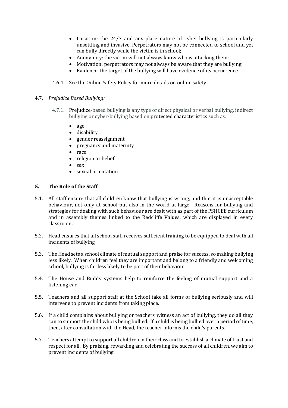- Location: the 24/7 and any-place nature of cyber-bullying is particularly unsettling and invasive. Perpetrators may not be connected to school and yet can bully directly while the victim is in school;
- Anonymity: the victim will not always know who is attacking them;
- Motivation: perpetrators may not always be aware that they are bullying;
- Evidence: the target of the bullying will have evidence of its occurrence.
- 4.6.4. See the Online Safety Policy for more details on online safety
- 4.7. *Prejudice Based Bullying:*
	- 4.7.1. Prejudice-based bullying is any type of direct physical or verbal bullying, indirect bullying or cyber-bullying based o[n protected characteristics s](https://www.equalityhumanrights.com/en/equality-act/protected-characteristics)uch as:
		- age
		- disability
		- gender reassignment
		- pregnancy and maternity
		- race
		- religion or belief
		- sex
		- sexual orientation

#### **5. The Role of the Staff**

- 5.1. All staff ensure that all children know that bullying is wrong, and that it is unacceptable behaviour, not only at school but also in the world at large. Reasons for bullying and strategies for dealing with such behaviour are dealt with as part of the PSHCEE curriculum and in assembly themes linked to the Redcliffe Values, which are displayed in every classroom.
- 5.2. Head ensures that all school staff receives sufficient training to be equipped to deal with all incidents of bullying.
- 5.3. The Head sets a school climate of mutual support and praise for success, so making bullying less likely. When children feel they are important and belong to a friendly and welcoming school, bullying is far less likely to be part of their behaviour.
- 5.4. The House and Buddy systems help to reinforce the feeling of mutual support and a listening ear.
- 5.5. Teachers and all support staff at the School take all forms of bullying seriously and will intervene to prevent incidents from taking place.
- 5.6. If a child complains about bullying or teachers witness an act of bullying, they do all they can to support the child who is being bullied. If a child is being bullied over a period of time, then, after consultation with the Head, the teacher informs the child's parents.
- 5.7. Teachers attempt to support all children in their class and to establish a climate of trust and respect for all. By praising, rewarding and celebrating the success of all children, we aim to prevent incidents of bullying.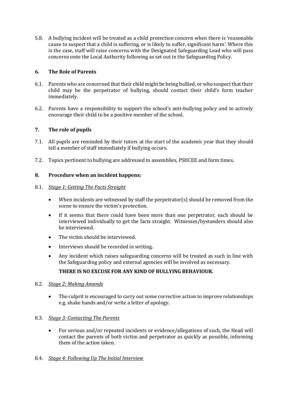5.8. A bullying incident will be treated as a child protection concern when there is 'reasonable cause to suspect that a child is suffering, or is likely to suffer, significant harm'. Where this is the case, staff will raise concerns with the Designated Safeguarding Lead who will pass concerns onto the Local Authority following as set out in the Safeguarding Policy.

### **6. The Role of Parents**

- 6.1. Parents who are concerned that their child might be being bullied, or who suspect that their child may be the perpetrator of bullying, should contact their child's form teacher immediately.
- 6.2. Parents have a responsibility to support the school's anti-bullying policy and to actively encourage their child to be a positive member of the school.

# **7. The role of pupils**

- 7.1. All pupils are reminded by their tutors at the start of the academic year that they should tell a member of staff immediately if bullying occurs.
- 7.2. Topics pertinent to bullying are addressed in assemblies, PSHCEE and form times.

#### **8. Procedure when an incident happens:**

#### 8.1. *Stage 1: Getting The Facts Straight*

- When incidents are witnessed by staff the perpetrator(s) should be removed from the scene to ensure the victim's protection.
- If it seems that there could have been more than one perpetrator, each should be interviewed individually to get the facts straight. Witnesses/bystanders should also be interviewed.
- The victim should be interviewed.
- Interviews should be recorded in writing.
- Any incident which raises safeguarding concerns will be treated as such in line with the Safeguarding policy and external agencies will be involved as necessary.

# **THERE IS NO EXCUSE FOR ANY KIND OF BULLYING BEHAVIOUR.**

#### 8.2. *Stage 2: Making Amends*

 The culprit is encouraged to carry out some corrective action to improve relationships e.g. shake hands and/or write a letter of apology.

#### 8.3. *Stage 3: Contacting The Parents*

 For serious and/or repeated incidents or evidence/allegations of such, the Head will contact the parents of both victim and perpetrator as quickly as possible, informing them of the action taken.

#### 8.4. *Stage 4: Following Up The Initial Interview*